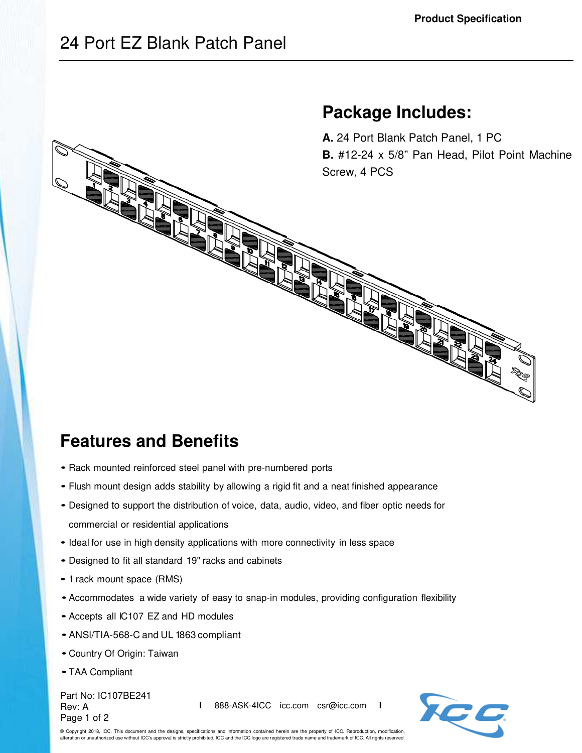**Package Includes:** 

## 24 Port EZ Blank Patch Panel

## **A.** 24 Port Blank Patch Panel, 1 PC **B.** #12-24 x 5/8" Pan Head, Pilot Point Machine Screw, 4 PCS

## **Features and Benefits**

- Rack mounted reinforced steel panel with pre-numbered ports
- Flush mount design adds stability by allowing a rigid fit and a neat finished appearance
- Designed to support the distribution of voice, data, audio, video, and fiber optic needs for commercial or residential applications
- Ideal for use in high density applications with more connectivity in less space
- Designed to fit all standard 19" racks and cabinets
- 1 rack mount space (RMS)
- Accommodates a wide variety of easy to snap-in modules, providing configuration flexibility
- Accepts all IC107 EZ and HD modules
- ANSl/TIA-568-C and UL 1863 compliant
- Country Of Origin: Taiwan
- TAA Compliant

Part No: IC107BE241 Rev: A Page 1 of 2

**I** 888-ASK-4ICC icc.com csr@icc.com **I**



© Copyright 2018, ICC. This document and the designs, specifications and information contained herein are the property of ICC. Reproduction, modification, alteration or unauthorized use without ICC's approval is strictly prohibited. ICC and the ICC logo are registered trade name and trademark of ICC. All rights reserved.